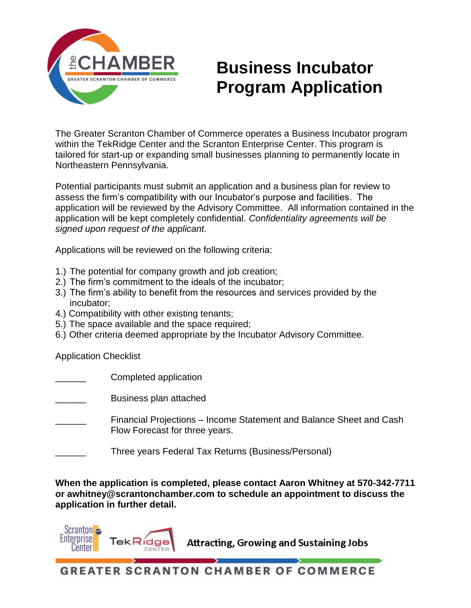

# **Business Incubator Program Application**

The Greater Scranton Chamber of Commerce operates a Business Incubator program within the TekRidge Center and the Scranton Enterprise Center. This program is tailored for start-up or expanding small businesses planning to permanently locate in Northeastern Pennsylvania.

Potential participants must submit an application and a business plan for review to assess the firm's compatibility with our Incubator's purpose and facilities. The application will be reviewed by the Advisory Committee. All information contained in the application will be kept completely confidential. *Confidentiality agreements will be signed upon request of the applicant.*

Applications will be reviewed on the following criteria:

- 1.) The potential for company growth and job creation;
- 2.) The firm's commitment to the ideals of the incubator;
- 3.) The firm's ability to benefit from the resources and services provided by the incubator;
- 4.) Compatibility with other existing tenants;
- 5.) The space available and the space required;
- 6.) Other criteria deemed appropriate by the Incubator Advisory Committee.

Application Checklist

Scranton **a Enterprise** 

Center

Completed application

\_\_\_\_\_\_ Business plan attached

- \_\_\_\_\_\_ Financial Projections Income Statement and Balance Sheet and Cash Flow Forecast for three years.
- Three years Federal Tax Returns (Business/Personal)

**When the application is completed, please contact Aaron Whitney at 570-342-7711 or awhitney@scrantonchamber.com to schedule an appointment to discuss the application in further detail.** 

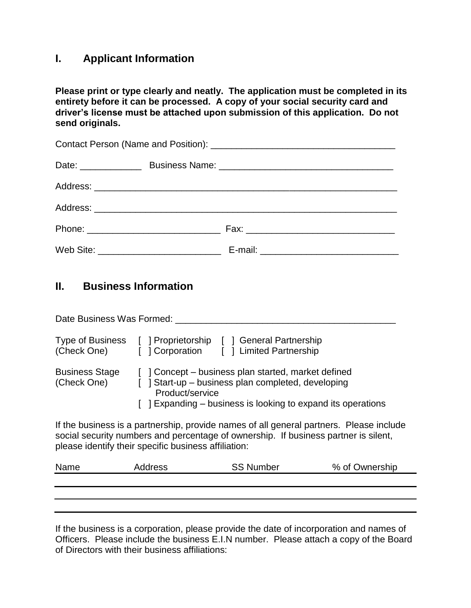### **I. Applicant Information**

**Please print or type clearly and neatly. The application must be completed in its entirety before it can be processed. A copy of your social security card and driver's license must be attached upon submission of this application. Do not send originals.** 

## **II. Business Information**

| Date Business Was Formed:            |                                                                                                                                                                                                                                        |  |
|--------------------------------------|----------------------------------------------------------------------------------------------------------------------------------------------------------------------------------------------------------------------------------------|--|
| Type of Business<br>(Check One)      | [ ] Proprietorship [ ] General Partnership<br>[ ] Corporation [ ] Limited Partnership                                                                                                                                                  |  |
| <b>Business Stage</b><br>(Check One) | ] Concept – business plan started, market defined<br>[ ] Start-up – business plan completed, developing<br>Product/service<br>[ ] Expanding – business is looking to expand its operations                                             |  |
|                                      | If the business is a partnership, provide names of all general partners. Please include<br>social security numbers and percentage of ownership. If business partner is silent,<br>please identify their specific business affiliation: |  |

| Name | Address | <b>SS Number</b> | % of Ownership |
|------|---------|------------------|----------------|
|      |         |                  |                |
|      |         |                  |                |
|      |         |                  |                |

If the business is a corporation, please provide the date of incorporation and names of Officers. Please include the business E.I.N number. Please attach a copy of the Board of Directors with their business affiliations: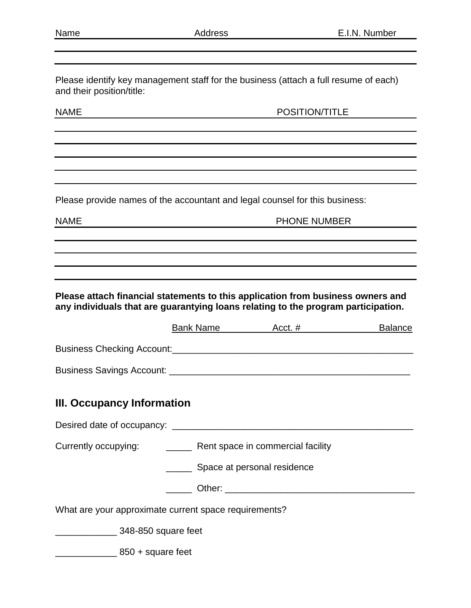Please identify key management staff for the business (attach a full resume of each) and their position/title:

NAME POSITION/TITLE

Please provide names of the accountant and legal counsel for this business:

NAME NET RESERVE THE PHONE NUMBER

**Please attach financial statements to this application from business owners and any individuals that are guarantying loans relating to the program participation.** 

|                                                                    |                             | Bank Name Acct. # | <b>Balance</b> |
|--------------------------------------------------------------------|-----------------------------|-------------------|----------------|
|                                                                    |                             |                   |                |
|                                                                    |                             |                   |                |
| III. Occupancy Information                                         |                             |                   |                |
|                                                                    |                             |                   |                |
| Currently occupying: ___________ Rent space in commercial facility |                             |                   |                |
|                                                                    | Space at personal residence |                   |                |
|                                                                    |                             |                   |                |
| What are your approximate current space requirements?              |                             |                   |                |
| <u>__________________</u> 348-850 square feet                      |                             |                   |                |
| $850 + square feet$                                                |                             |                   |                |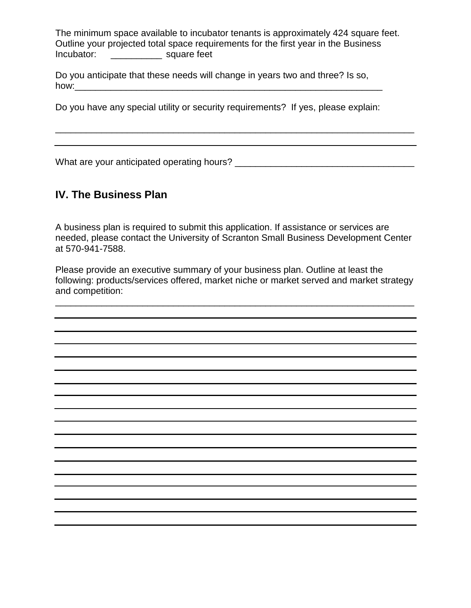The minimum space available to incubator tenants is approximately 424 square feet. Outline your projected total space requirements for the first year in the Business Incubator: \_\_\_\_\_\_\_\_\_\_ square feet

Do you anticipate that these needs will change in years two and three? Is so, how:\_\_\_\_\_\_\_\_\_\_\_\_\_\_\_\_\_\_\_\_\_\_\_\_\_\_\_\_\_\_\_\_\_\_\_\_\_\_\_\_\_\_\_\_\_\_\_\_\_\_\_\_\_\_\_\_\_\_\_\_

Do you have any special utility or security requirements? If yes, please explain:

\_\_\_\_\_\_\_\_\_\_\_\_\_\_\_\_\_\_\_\_\_\_\_\_\_\_\_\_\_\_\_\_\_\_\_\_\_\_\_\_\_\_\_\_\_\_\_\_\_\_\_\_\_\_\_\_\_\_\_\_\_\_\_\_\_\_\_\_\_\_

What are your anticipated operating hours? \_\_\_\_\_\_\_\_\_\_\_\_\_\_\_\_\_\_\_\_\_\_\_\_\_\_\_\_\_\_\_\_\_\_\_

### **IV. The Business Plan**

A business plan is required to submit this application. If assistance or services are needed, please contact the University of Scranton Small Business Development Center at 570-941-7588.

Please provide an executive summary of your business plan. Outline at least the following: products/services offered, market niche or market served and market strategy and competition:

\_\_\_\_\_\_\_\_\_\_\_\_\_\_\_\_\_\_\_\_\_\_\_\_\_\_\_\_\_\_\_\_\_\_\_\_\_\_\_\_\_\_\_\_\_\_\_\_\_\_\_\_\_\_\_\_\_\_\_\_\_\_\_\_\_\_\_\_\_\_

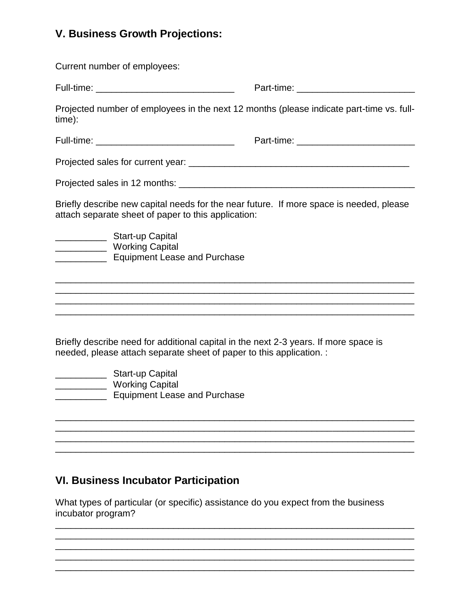## **V. Business Growth Projections:**

| Current number of employees:                                                                                                                                 |                                                                                          |
|--------------------------------------------------------------------------------------------------------------------------------------------------------------|------------------------------------------------------------------------------------------|
| Full-time: ___________________________________                                                                                                               |                                                                                          |
| time):                                                                                                                                                       | Projected number of employees in the next 12 months (please indicate part-time vs. full- |
| Full-time: __________________________________                                                                                                                |                                                                                          |
|                                                                                                                                                              |                                                                                          |
|                                                                                                                                                              |                                                                                          |
| Briefly describe new capital needs for the near future. If more space is needed, please<br>attach separate sheet of paper to this application:               |                                                                                          |
| Start-up Capital<br>____________ Working Capital<br><b>Equipment Lease and Purchase</b>                                                                      |                                                                                          |
|                                                                                                                                                              |                                                                                          |
| Briefly describe need for additional capital in the next 2-3 years. If more space is<br>needed, please attach separate sheet of paper to this application. : |                                                                                          |

- \_\_\_\_\_\_\_\_\_\_ Start-up Capital \_\_\_\_\_\_\_\_\_\_ Working Capital
- \_\_\_\_\_\_\_\_\_\_ Equipment Lease and Purchase

## **VI. Business Incubator Participation**

What types of particular (or specific) assistance do you expect from the business incubator program?

\_\_\_\_\_\_\_\_\_\_\_\_\_\_\_\_\_\_\_\_\_\_\_\_\_\_\_\_\_\_\_\_\_\_\_\_\_\_\_\_\_\_\_\_\_\_\_\_\_\_\_\_\_\_\_\_\_\_\_\_\_\_\_\_\_\_\_\_\_\_ \_\_\_\_\_\_\_\_\_\_\_\_\_\_\_\_\_\_\_\_\_\_\_\_\_\_\_\_\_\_\_\_\_\_\_\_\_\_\_\_\_\_\_\_\_\_\_\_\_\_\_\_\_\_\_\_\_\_\_\_\_\_\_\_\_\_\_\_\_\_

\_\_\_\_\_\_\_\_\_\_\_\_\_\_\_\_\_\_\_\_\_\_\_\_\_\_\_\_\_\_\_\_\_\_\_\_\_\_\_\_\_\_\_\_\_\_\_\_\_\_\_\_\_\_\_\_\_\_\_\_\_\_\_\_\_\_\_\_\_\_

\_\_\_\_\_\_\_\_\_\_\_\_\_\_\_\_\_\_\_\_\_\_\_\_\_\_\_\_\_\_\_\_\_\_\_\_\_\_\_\_\_\_\_\_\_\_\_\_\_\_\_\_\_\_\_\_\_\_\_\_\_\_\_\_\_\_\_\_\_\_ \_\_\_\_\_\_\_\_\_\_\_\_\_\_\_\_\_\_\_\_\_\_\_\_\_\_\_\_\_\_\_\_\_\_\_\_\_\_\_\_\_\_\_\_\_\_\_\_\_\_\_\_\_\_\_\_\_\_\_\_\_\_\_\_\_\_\_\_\_\_ \_\_\_\_\_\_\_\_\_\_\_\_\_\_\_\_\_\_\_\_\_\_\_\_\_\_\_\_\_\_\_\_\_\_\_\_\_\_\_\_\_\_\_\_\_\_\_\_\_\_\_\_\_\_\_\_\_\_\_\_\_\_\_\_\_\_\_\_\_\_ \_\_\_\_\_\_\_\_\_\_\_\_\_\_\_\_\_\_\_\_\_\_\_\_\_\_\_\_\_\_\_\_\_\_\_\_\_\_\_\_\_\_\_\_\_\_\_\_\_\_\_\_\_\_\_\_\_\_\_\_\_\_\_\_\_\_\_\_\_\_ \_\_\_\_\_\_\_\_\_\_\_\_\_\_\_\_\_\_\_\_\_\_\_\_\_\_\_\_\_\_\_\_\_\_\_\_\_\_\_\_\_\_\_\_\_\_\_\_\_\_\_\_\_\_\_\_\_\_\_\_\_\_\_\_\_\_\_\_\_\_

\_\_\_\_\_\_\_\_\_\_\_\_\_\_\_\_\_\_\_\_\_\_\_\_\_\_\_\_\_\_\_\_\_\_\_\_\_\_\_\_\_\_\_\_\_\_\_\_\_\_\_\_\_\_\_\_\_\_\_\_\_\_\_\_\_\_\_\_\_\_